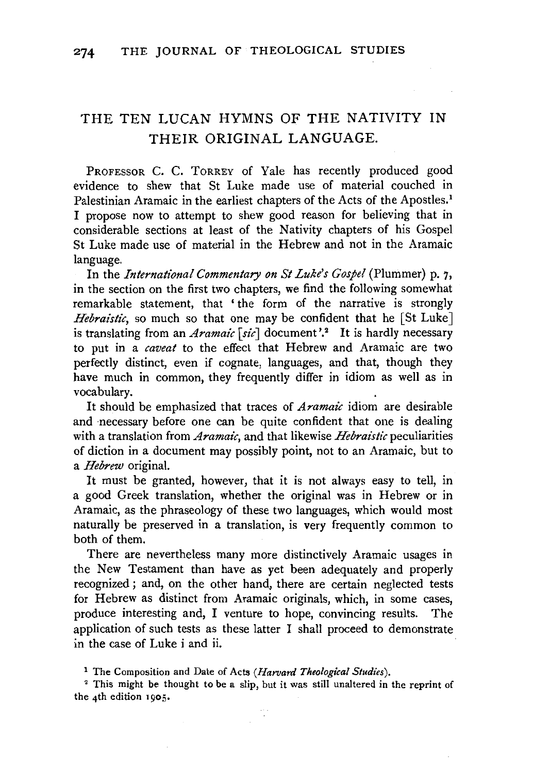## THE TEN LUCAN HYMNS OF THE NATIVITY IN THEIR ORIGINAL LANGUAGE.

PROFESSOR C. C. ToRREY of Yale has recently produced good evidence to shew that St Luke made use of material couched in Palestinian Aramaic in the earliest chapters of the Acts of the Apostles.<sup>1</sup> I propose now to attempt to shew good reason for believing that in considerable sections at least of the Nativity chapters of his Gospel St Luke made use of material in the Hebrew and not in the Aramaic language.

In the *International Commentary on St Luke's Gospel* (Plummer) p. 7, in the section on the first two chapters, we find the following somewhat remarkable statement, that ' the form of the narrative is strongly *Hebraistic,* so much so that one may be confident that he [St Luke] is translating from an *Aramaic* [sic] document '.<sup>2</sup> It is hardly necessary to put in a *caveat* to the effect that Hebrew and Aramaic are two perfectly distinct, even if cognate, languages, and that, though they have much in common, they frequently differ in idiom as well as in vocabulary.

It should be emphasized that traces of *Aramaic* idiom are desirable and necessary before one can be quite confident that one is dealing with a translation from *Aramaic,* and that likewise *Hebraistic* peculiarities of diction in a document may possibly point, not to an Aramaic, but to a *Hebrew* original.

It must be granted, however, that it is not always easy to tell, in a good Greek translation, whether the original was in Hebrew or in Aramaic, as the phraseology of these two languages, which would most naturally be preserved in a translation, is very frequently common to both of them.

There are nevertheless many more distinctively Aramaic usages in the New Testament than have as yet been adequately and properly recognized; and, on the other hand, there are certain neglected tests for Hebrew as distinct from Aramaic originals, which, in some cases, produce interesting and, I venture to hope, convincing results. The application of such tests as these latter I shall proceed to demonstrate in the case of Luke i and ii.

1 The Composition and Date of Acts *(Harvard Theological Studies).* 

2 This might be thought to be a slip, but it was still unaltered in the reprint of the 4th edition 1905.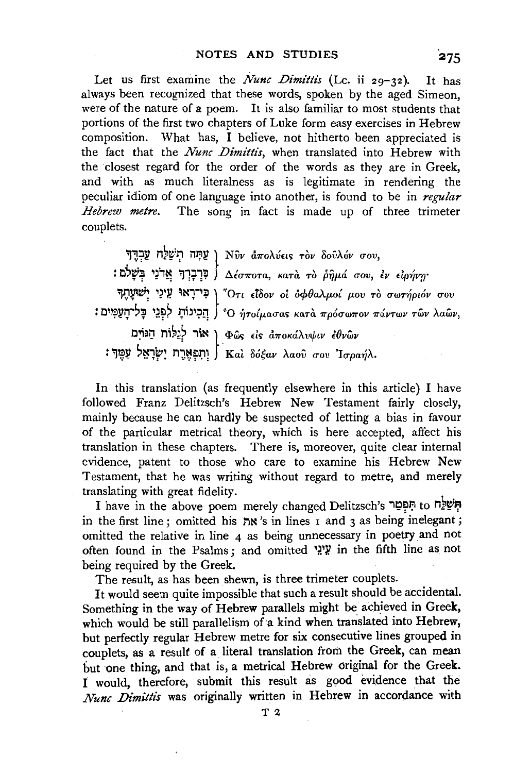Let us first examine the *Nunc Dimittis* (Lc. ii 29-32). It has always been recognized that these words, spoken by the aged Simeon, were of the nature of a poem. It is also familiar to most students that portions of the first two chapters of Luke form easy exercises in Hebrew composition. What has, I believe, not hitherto been appreciated is the fact that the *Nunc Dimittis,* when translated into Hebrew with the closest regard for the order of the words as they are in Greek, and with as much literalness as is legitimate in rendering the peculiar idiom of one language into another, is found to be in *regular Hebrew metre.* The song in fact is made up of three trimeter couplets.

1':!~l1 n~!?';l} i1J;ll1 } *Nvv* .i?rOAVHS *-r6v SovA.6v O"ov,*  : מַרְבָרְךָ אֲרֹנֵי בִּשָּׁלֹם) Δέσποτα, κατα το *ρημά σου, εν ειρήνη* יִנָי יְשׁוּעָהָךָ ( בִּי־רָאוּ עֵינַי יְשׁוּעָהָ : הַכְינוֹת לִפְנֵי כַּל־דַעַמִּים; 1<sup>0</sup>°O *ήτοίμασας κατα πρόσωπον πάντων των λα*ων, l:l~'~iJ l"l'~~> ,,~ } *<Pws* ds *<i?roKaA.vlfnv l.Bvwv*  : 11ijl1 '~1~~ l"l':}~~tl1 *Kal S6gav A.aov <Tov* 'I<Tpa~A..

In this translation (as frequently elsewhere in this article) I have followed Franz Delitzsch's Hebrew New Testament fairly closely, mainly because he can hardly be suspected of letting a bias in favour of the particular metrical theory, which is here accepted, affect his translation in these chapters. There is, moreover, quite clear internal evidence, patent to those who care to examine his Hebrew New Testament, that he was writing without regard to metre, and merely translating with great fidelity.

I have in the above poem merely changed Delitzsch's i~to n in the first line; omitted his את 's in lines 1 and 3 as being inelegant ; omitted the relative in line 4 as being unnecessary in poetry and not often found in the Psalms ; and omitted ~~~v. in the fifth line as not being required by the Greek.

The result, as has been shewn, is three trimeter couplets.

It would seem quite impossible that such a result should be accidental. Something in the way of Hebrew parallels might be achieved in Greek, which would be still parallelism of a kind when translated into Hebrew, but perfectly regular Hebrew metre for six consecutive lines grouped in couplets, as a result of a literal translation from the Greek, can mean but 'One thing, and that is, a metrical Hebrew original for the Greek. 1 would, therefore, submit this result as good evidence that the *Nunc Dimittis* was originally written in Hebrew in accordance with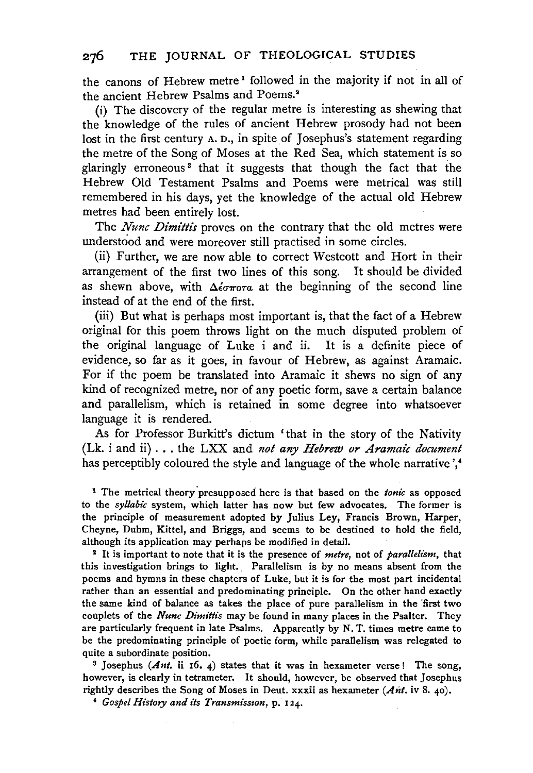the canons of Hebrew metre<sup>1</sup> followed in the majority if not in all of the ancient Hebrew Psalms and Poems.<sup>2</sup>

(i) The discovery of the regular metre is interesting as shewing that the knowledge of the rules of ancient Hebrew prosody had not been lost in the first century A. D., in spite of Josephus's statement regarding the metre of the Song of Moses at the Red Sea, which statement is so glaringly erroneous<sup>3</sup> that it suggests that though the fact that the Hebrew Old Testament Psalms and Poems were metrical was still remembered in his days, yet the knowledge of the actual old Hebrew metres had been entirely lost.

The *Nunc Dimittis* proves on the contrary that the old metres were understood and were moreover still practised in some circles.

(ii) Further, we are now able to correct Westcott and Hort in their arrangement of the first two lines of this song. It should be divided as shewn above, with  $\Delta \epsilon \sigma \pi \sigma \tau a$  at the beginning of the second line instead of at the end of the first.

(iii) But what is perhaps most important is, that the fact of a Hebrew original for this poem throws light on the much disputed problem of the original language of Luke i and ii. It is a definite piece of evidence, so far as it goes, in favour of Hebrew, as against Aramaic. For if the poem be translated into Aramaic it shews no sign of any kind of recognized metre, nor of any poetic form, save a certain balance and parallelism, which is retained in some degree into whatsoever language it is rendered.

As for Professor Burkitt's dictum 'that in the story of the Nativity (Lk. i and ii) ... the LXX and *not any Hebrew or Aramaic document*  has perceptibly coloured the style and language of the whole narrative *',* <sup>4</sup>

<sup>1</sup> The metrical theory presupposed here is that based on the *tonic* as opposed to the *syllabic* system, which latter has now but few advocates. The former is the principle of measurement adopted by Julius Ley, Francis Brown, Harper, Cheyne, Duhm, Kittel, and Briggs, and seems to be destined to hold the field, although its application may perhaps be modified in detail. 2 It is important to note that it is the presence of *metre,* not of *parallelism,* that

this investigation brings to light. Parallelism is by no means absent from the poems and hymns in these chapters of Luke, but it is for the most part incidental rather than an essential and predominating principle. On the other hand exactly the same kind of balance as takes the place of pure parallelism in the 'first two couplets of the *Nunc Dimittis* may be found in many places in the Psalter. They are particularly frequent in late Psalms. Apparently by N. T. times metre came to be the predominating principle of poetic form, while parallelism was relegated to quite a subordinate position.<br><sup>8</sup> Josephus *(Ant.* ii 16. 4) states that it was in hexameter verse! The song,

however, is clearly in tetrameter. It should, however, be observed that Josephus rightly describes the Song of Moses in Deut. xxxii as hexameter  $(Ant$ . iv 8. 40).

• *Gospel History and its Transmisston,* p. 124.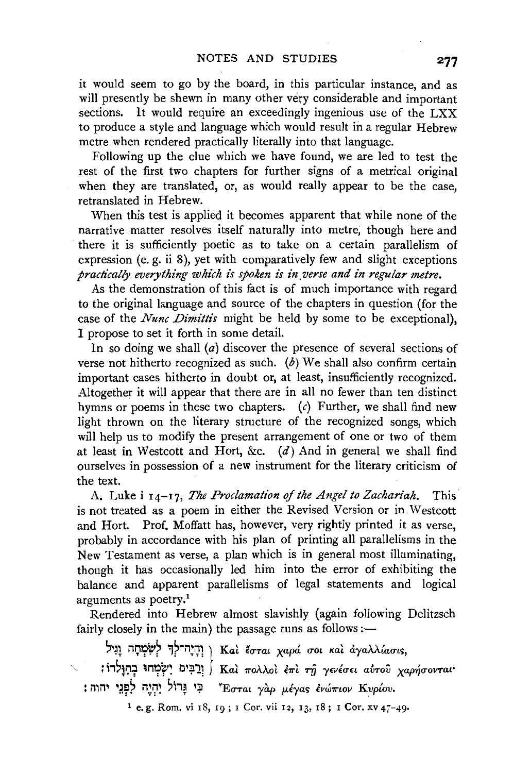it would seem to go by the board, in this particular instance, and as will presently be shewn in many other very considerable and important sections. It would require an exceedingly ingenious use of the LXX to produce a style and language which would result in a regular Hebrew metre when rendered practically literally into that language.

Following up the clue which we have found, we are led to test the rest of the first two chapters for further signs of a metrical original when they are translated, or, as would really appear to be the case, retranslated in Hebrew.

When this test is applied it becomes apparent that while none of the narrative matter resolves itself naturally into metre, though here and there it is sufficiently poetic as to take on a certain parallelism of expression (e. g. ii 8), yet with comparatively few and slight exceptions *practically everything which is spoken is in, verse and in regular metre.* 

As the demonstration of this fact is of much importance with regard to the original language and source of the chapters in question (for the case of the *Nunc Dimittis* might be held by some to be exceptional), I propose to set it forth in some detail.

In so doing we shall  $(a)$  discover the presence of several sections of verse not hitherto recognized as such.  $(b)$  We shall also confirm certain important cases hitherto in doubt or, at least, insufficiently recognized. Altogether it will appear that there are in all no fewer than ten distinct hymns or poems in these two chapters.  $(c)$  Further, we shall find new light thrown on the literary structure of the recognized songs, which will help us to modify the present arrangement of one or two of them at least in Westcott and Hort, &c.  $(d)$  And in general we shall find ourselves in possession of a new instrument for the literary criticism of the text.

A. Luke i 14-17, *The Proclamation of the Angel to Zachariah*. This is not treated as a poem in either the Revised Version or in Westcott and Hort. Prof. Moffatt has, however, very rightly printed it as verse, probably in accordance with his plan of printing all parallelisms in the New Testament as verse, a plan which is in general most illuminating, though it has occasionally led him into the error of exhibiting the balance and apparent parallelisms of legal statements and logical arguments as poetry.1

Rendered into Hebrew almost slavishly (again following Delitzsch fairly closely in the main) the passage runs as follows :-

יִ וְהָיָה־לְךָ לְשָׂמְחָה וָגִיל ) Kal έσται χαρά σοι και αγαλλίασις,  $:$ יְבִים יִשְׂמְחוּ בְהוּלְרוֹ $\int$  Kal  $\pi$ ס $\lambda$ ו $\lambda$ וֹ  $\eta$   $\gamma$ evέσει αυτού χαρ $\eta$ σονται : יְהָיָה לִפְנֵי יהוה: "Eoral yap μέγαs ενώπιον Kvpίου.

<sup>1</sup> e.g. Rom. vi 18, 19; 1 Cor. vii 12, 13, 18; 1 Cor. xv 47-49.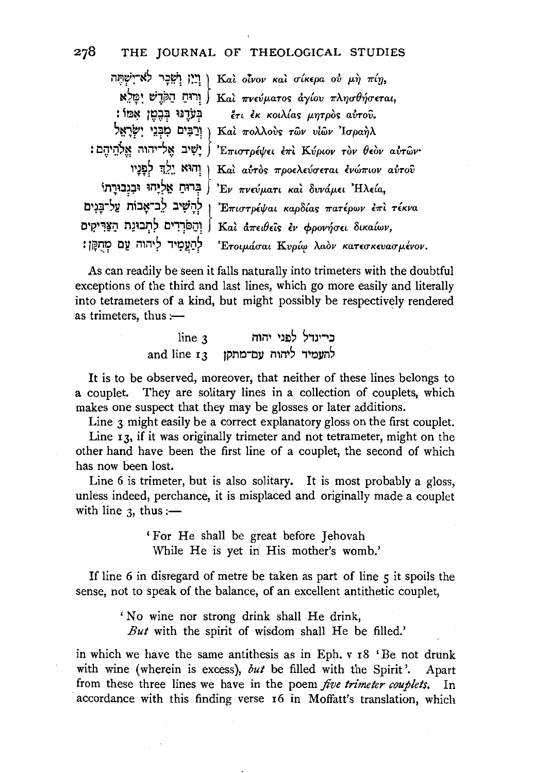## 278 THE JOURNAL OF THEOLOGICAL STUDIES

וֹיַן וְשָׁבָר לֹא־יִשָׁתֵּה (בּוֹיִן אַ Kaì olvov κaì σίκερα ού μη πίη, וּרוּחַ הַמָּדֵשׁ יְמַלְא Kal πνεύματος αγίου πλησθήσεται, : בְּבָטֵן אָמּוֹ (וֹבְבָי בָּבְטֵן אָמּוֹ (וֹבְטֵן אָמּוֹ בְּבָטֵן אָמּוֹ ו γισραήλ (וַבִּבְּיִם מִבְּגֵי יִשְׂרָאֵל ) Και πολλούς των υίων Ίσραήλ : שָׁיָב אֱל־יהוה אֱלֹהֵיהֵם: Επιστρέψει επι Κύριον τον θεον αυτών וְהוּא יָלֵךְ לִפְנָיו Kai aύτος προελεύσεται ενώπιον αύτου (וְהוּא יָלֵךְ לִפְנָיו in אֵלְיָהוּ וּבְנְבוּרָתוֹ 'Εν πνεύματι και δυνάμει 'Ηλεία, η (לְהָשִׁיב לָבִיאֲבוֹת עַל־בָּנִים Επιστρέψαι καρδίας πατέρων επι τέκνα ισφρονήσει δικαίων, [ (וְהַמַּרְדִים לְתְבוּנַת הַצַּדִּיקִים) [ Καλ απειθεΐς εν φρονήσει δικαίων, : לְהַעֲסְיד לְיהוּה עַם מְתְקָן: Ετοιμάσαι Κυρίω λαδν κατεσκευασμένον

As can readily be seen it falls naturally into trimeters with the doubtful exceptions of the third and last lines, which go more easily and literally into tetrameters of a kind, but might possibly be respectively rendered as trimeters, thus :-

| line <sub>3</sub> | כי־יגדל לפני יהוה    |  |
|-------------------|----------------------|--|
| and line $r_3$    | להעמיד ליהוה עם־מתקן |  |

It is to be observed, moreover, that neither of these lines belongs to a couplet. They are solitary lines in a collection of couplets, which makes one suspect that they may be glosses or later additions.

Line 3 might easily be a correct explanatory gloss on the first couplet.

Line 13, if it was originally trimeter and not tetrameter, might on the other hand have been the first line of a couplet, the second of which has now been lost.

Line 6 is trimeter, but is also solitary. It is most probably a gloss, unless indeed, perchance, it is misplaced and originally made a couplet with line  $3$ , thus :-

> 'For He shall be great before Jehovah While He is yet in His mother's womb.'

If line 6 in disregard of metre be taken as part of line  $\zeta$  it spoils the sense, not to speak of the balance, of an excellent antithetic couplet,

> 'No wine nor strong drink shall He drink, But with the spirit of wisdom shall He be filled.'

in which we have the same antithesis as in Eph. v 18 'Be not drunk with wine (wherein is excess), but be filled with the Spirit'. Apart from these three lines we have in the poem five trimeter couplets. In accordance with this finding verse 16 in Moffatt's translation, which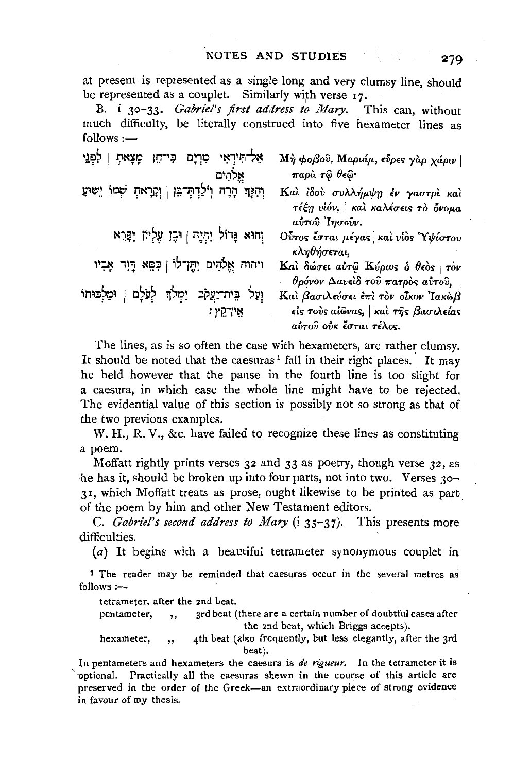at present is represented as a single long and very clumsy line, should be represented as a couplet. Similarly with verse 17.

B. i 30-33. Gabriel's first address to Mary. This can, without much difficulty, be literally construed into five hexameter lines as  $follows :=$ 

| מִרְיָם כִּי־חֵן מָצָאתְ   לִפְנֵי<br>אַל־תִּירָאִי<br>אלהים     | Μή φοβού, Μαριάμ, εύρες γαρ χάριν  <br>παρά τῷ θεῷ·                                                |
|------------------------------------------------------------------|----------------------------------------------------------------------------------------------------|
| וְהִנָּךְ הָרָה וְיֹלַדְתְּ־בֵּן   וְמָרָאתְ שְׁמוֹ יֵשׁוּעַ     | Καί ίδού συλλήμψη έν γαστρί καί<br>τέξη υίόν,   καὶ καλέσεις τὸ ὄνομα<br>αύτου Ίησουν.             |
| וְהוּא נַּדוֹל יִהְיֶה   וּבֶן עָלְיוֹן יִקְרֵא                  | Ούτος έσται μέγας και νίος Υψίστου<br>κληθήσεται,                                                  |
| ויהוה אֱלֹהִים יְתֵּן־לוֹ   כִּםֵא דַּוִר אָבִיו                 | Και δώσει αυτώ Κύριος ο θεος τον<br>θρόνον Δαυείδ του πατρός αύτου,                                |
| וְעַל בֵּית־יַעֲקֹב יִמְלֹךְ לְעָלָם   וּמַלְכּוּתוֹ<br>איו־קץ : | Καὶ βασιλεύσει ἐπὶ τὸν οἶκον Ἰακὼβ<br>είς τους αίωνας, και της βασιλείας<br>αύτοῦ οὐκ ἔσται τέλος. |

The lines, as is so often the case with hexameters, are rather clumsy. It should be noted that the caesuras<sup>1</sup> fall in their right places. It may he held however that the pause in the fourth line is too slight for a caesura, in which case the whole line might have to be rejected. The evidential value of this section is possibly not so strong as that of the two previous examples.

W. H., R. V., &c. have failed to recognize these lines as constituting a poem.

Moffatt rightly prints verses 32 and 33 as poetry, though verse 32, as he has it, should be broken up into four parts, not into two. Verses 30-31, which Moffatt treats as prose, ought likewise to be printed as part of the poem by him and other New Testament editors.

C. Gabriel's second address to Mary ( $i$  35-37). This presents more difficulties.

 $(a)$  It begins with a beautiful tetrameter synonymous couplet in

<sup>1</sup> The reader may be reminded that caesuras occur in the several metres as follows :--

tetrameter, after the 2nd beat.

3rd beat (there are a certain number of doubtful cases after pentameter,  $,$ the 2nd beat, which Briggs accepts). 4th beat (also frequently, but less elegantly, after the 3rd hexameter.

beat).

In pentameters and hexameters the caesura is *de rigueur*. In the tetrameter it is optional. Practically all the caesuras shewn in the course of this article are preserved in the order of the Greek-an extraordinary piece of strong evidence in favour of my thesis.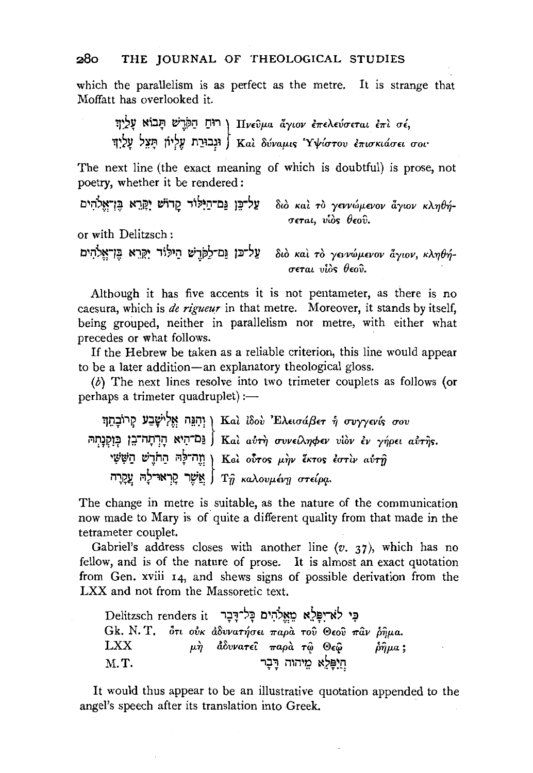## 280 THE IOURNAL OF THEOLOGICAL STUDIES

which the parallelism is as perfect as the metre. It is strange that Moffatt has overlooked it.

יִתְּבוֹא עֲלֵיְךָ (רוּחַ הַקּׂרֶשׁ הָבוֹא עָלֵיִךְ (C הַיֹּחַ הַקּוֹיָשׁ הָבוֹא עָלֵיִךְ ) ווא הא וּנְבוּרֵת עֲלָיוֹן הַעֲל עֲלָיִךְ (Kai δύναμις Ύψίστου επισκιάσει σοι·

The next line (the exact meaning of which is doubtful) is prose, not poetry, whether it be rendered:

על־כּו גם־הַיִּלּוֹד קַדוֹשׁ יַקֵּרָא בּו־אֵלֹהים διὸ καὶ τὸ γεννώμενον ἄγιον κληθήσεται, νίὸς θεου. or with Delitzsch:

על־כן ום־לקרש הילוד יקרא בן־אלהים διὸ καὶ τὸ γεννώμενον ἄγιον, κληθή- $\sigma$  $\epsilon \tau a\iota$  vios  $\theta \epsilon$ o<sub>0</sub>.

Although it has five accents it is not pentameter, as there is no caesura, which is *de rigueur* in that metre. Moreover, it stands by itself, being grouped, neither in parallelism nor metre, with either what precedes or what follows.

If the Hebrew be taken as a reliable criterion, this line would appear to be a later addition-an explanatory theological gloss.

 $(b)$  The next lines resolve into two trimeter couplets as follows (or perhaps a trimeter quadruplet) :-

| ּוֹהָגָּה אֱלִישָּׁבַע קְרוֹבָהֵ <del>ןָ</del> [עֲרוֹבָהַ   Καὶ ἰδοὺ 'Ελεισάβετ ή συγγενίς σου    |
|---------------------------------------------------------------------------------------------------|
| וַּם־הִיא הָרְתָה־בֵן בִּוְקִנָּתְהּ [Kaì avrỳ συνείληφεν vίον εν γήρει avrης.                    |
| ישָׁשָׁי הַחֹרֶשׁ הַמֹּשָׁשִּׁ $\mathbf{K}$ ( תְּה־לָהּ הַחֹרֶשׁ הַשִּׁשִּׁי ( $\hat{\mathbf{g}}$ |
| אָשֶׁר קרארלָהּ עֲקָרָה (ד $\gamma_{\widehat{p}}$ каλουμέν $p$ στείρα.                            |

The change in metre is suitable, as the nature of the communication now made to Mary is of quite a different quality from that made in the tetrameter couplet.

Gabriel's address closes with another line  $(v, 37)$ , which has no fellow, and is of the nature of prose. It is almost an exact quotation from Gen. xviii 14, and shews signs of possible derivation from the LXX and not from the Massoretic text.

פִּי לֹא־יָפֶּלֵא מֲאֵלֹהִים כָּל־דָּבָר Delitzsch renders it Gk. N. T. ότι ούκ άδυνατήσει παρά του Θεου παν ρήμα. **LXX** μή άδυνατεί παρά τώ Θεώ δῆμα : היפלא מיהוה דבר M.T.

It would thus appear to be an illustrative quotation appended to the angel's speech after its translation into Greek.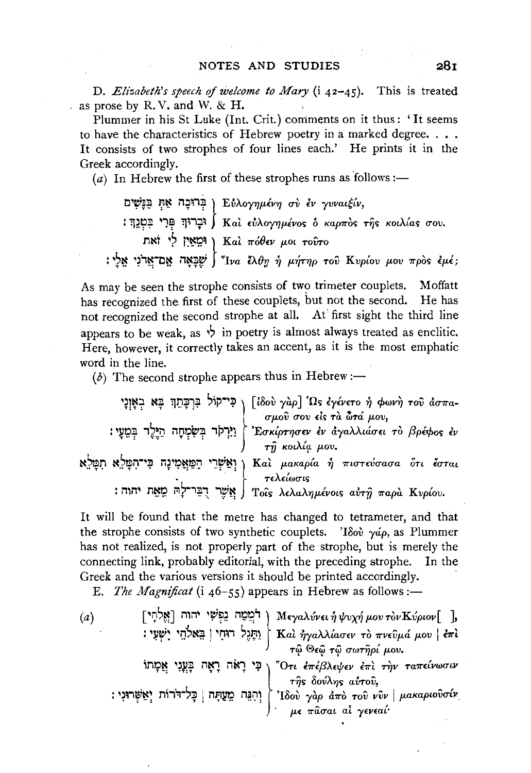D. *Elizabeth's speech of welcome to Mary* (i 42-45). This is treated as prose by  $R$ . V. and W. & H.

Plummer in his St Luke (Int. Crit.) comments on it thus: 'It seems to have the characteristics of Hebrew poetry in a marked degree. . . . It consists of two strophes of four lines each.' He prints it in the Greek accordingly.

(a) In Hebrew the first of these strophes runs as follows:—

t:l'~~~ T;l~ il~~,~ } *EvA.oy'l}piv'f} uv lv yvvatf{v,*  : '!?.~~ '"l!;li '1~.,1~ *Kat £vAoy'l}p.lvos* o *Kap1ros* T~'> *KotA.{as uov.*  11Nt •? ;;~!:?~ } *Kat 1r6fhv* p.ot *TOUro*  : •?tt ·~1~-t:ltt il~ql~ *''Iva* lAOv TJ *p.frr'tJp Tov Kvp{ov p.ov 1rpos lp.l;* 

As may be seen the strophe consists of two trimeter couplets. Moffatt has recognized the first of these couplets, but not the second. He has not recognized the second strophe at all. At' first sight the third line appears to be weak, as  $\forall$  in poetry is almost always treated as enclitic. Here, however, it correctly takes an accent, as it is the most emphatic word in the line.

(b) The second strophe appears thus in Hebrew:—

| יבּוֹרָם בּרְכָּחֵךְ בָּא בְאָוְנָי [ <i>δού γάρ</i> ] <i>Ωs εγίνετο ή φωνή του ασπα-</i><br><i>σμού σου είs τα δτά μου,</i><br><i>σμού σου είs τα δτά μου</i> , |
|------------------------------------------------------------------------------------------------------------------------------------------------------------------|
| יַ יְבְלֶחָה הַיָּלֶד בְּמֵעָי [ Εσκίρτησεν εν αγαλλιάσει το βρέφος εν [ נַיּוֹלָה בְּמֵעָי<br>τη κοιλία μου.                                                    |
| אַ תְמָּלֵא (אֲשָׂרֵי הַמַּאֲמִינָה בִּי־הִפָּלִא תִמְּלֵא (πιστεύσασα ὅτι ἔσται (אֲשָׂרָי הַמַּלְא<br>τελείωσις                                                 |
| : אֲשֶׁר דְבַּר־לָה מֵאָת יהוה Γούς λελαλημένοις αύτ<br>$\hat{n}$ παρὰ Κυρίου.                                                                                   |

It will be found that the metre has changed to tetrameter, and that the strophe consists of two synthetic couplets. 'ISov  $\gamma \dot{\alpha} \rho$ , as Plummer has not realized, is not properly part of the strophe, but is merely the connecting link, probably editorial, with the preceding strophe. In the Greek and the various versions it should be printed accordingly.

E. *The Magnificat* (i  $46-55$ ) appears in Hebrew as follows:—

| (a) | ן דְּפֻמָּה נַפְשִׁי יהוה [אֱלֹהָי] Μεγαλύνει ή ψυχή μου τὸν Κύριον[],                                 |
|-----|--------------------------------------------------------------------------------------------------------|
|     | יִתְּגֶל רוּחִין בֵּאלֹהֵי יִשְׁעָוֹ; Kai $\eta$ γαλλίασεν το πνεύμά μου   επί $\tau$ ψου, $\tau$ ψου, |
|     |                                                                                                        |
|     | ήπει επέβλεψεν έπὶ τὴν ταπείνωσιν / כָּי רָאֹה רָאָה בְּעֲנָי אֲסָתוֹ                                  |
|     | της δούλης αύτου,                                                                                      |
|     | : אֲשֶׁרוּנְי לְבַל־דוֹרוֹת יְאֲשֶׁרוּנְי $\mid$ 'Ιδού γλρ άπὸ τοῦ νῦν   μακαριοῦσίν                   |
|     | με πάσαι αί γενεαί                                                                                     |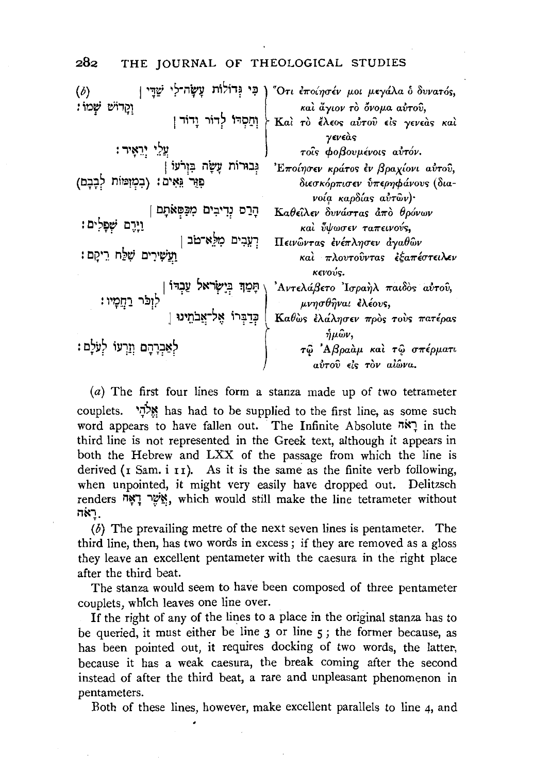| 282<br>THE JOURNAL OF THEOLOGICAL STUDIES                                                                     |                                                                                                                                                                                            |
|---------------------------------------------------------------------------------------------------------------|--------------------------------------------------------------------------------------------------------------------------------------------------------------------------------------------|
| (b)<br>וְקָרוֹשׁ שָׁמוֹ:                                                                                      | ιπέτοιησέν μοι μεγάλα ο δυνατός, ( επειτισία μεγάλα ο δυνατός, ( επειτισία επειτισία μεγάλα ο δυνατός,<br>καὶ ἄγιον τὸ ὄνομα αὐτοῦ,<br>ן קופרו לדור נדור Kai rò έλεος aύτου είς γενεάς και |
|                                                                                                               | γενεὰς<br>τοΐς φοβουμένοις αύτόν.                                                                                                                                                          |
| עֲלֵי יְרֵאָיר:<br>נְּבוּרוֹת עָשָׂה בִּוְרֹעוֹ  <br>פְזֵר גֵאִים: (בִמְוָמוֹת לְבָבָם)                       | Έποίησεν κράτος ἐν βραχίονι αὐτοῦ,<br>διεσκόρπισεν υπερηφάνους (δια-<br>νοία καρδίας αύτων)·                                                                                               |
| הָרַם נְדִיבִים מִכִּפְאֹתָם <br>וַיָּרֶם שְׁפְלִים:<br>רְעֲבִים מָלֵא־טֹבּ  <br>וַעֲשִׂירִים שָׁלַּח רֵיקָם: | Καθείλεν δυνάστας άπο θρόνων<br>καὶ ὗψωσεν ταπεινούς,<br>Πεινῶντας ἐνέπλησεν ἀγαθῶν                                                                                                        |
|                                                                                                               | και πλουτούντας εξαπέστειλεν<br>κενούς.                                                                                                                                                    |
| תְּמַךְ בְּיָשְׂרֹאל עַבְדוֹ  <br>לְוְפֹר בַחֲמָיו :<br>  בְּדַבְּרוֹ אֶל־אֲבֹתֵינוּ                          | 'Αντελάβετο 'Ισραὴλ παιδὸς αὐτοῦ,<br>μνησθήναι ελέους,                                                                                                                                     |
| לְאַבְרָהָם וְזַרְעוֹ לְעֹלָם:                                                                                | Καθώς έλάλησεν πρός τους πατέρας<br>ήμῶν,<br>τῷ 'Αβραὰμ καὶ τῷ σπέρματι<br>αύτου είς τον αίωνα.                                                                                            |

 $(a)$  The first four lines form a stanza made up of two tetrameter couplets. אֵלֹהֵי has had to be supplied to the first line, as some such word appears to have fallen out. The Infinite Absolute יֹאה in the third line is not represented in the Greek text, although it appears in both the Hebrew and LXX of the passage from which the line is derived (1 Sam. i 11). As it is the same as the finite verb following, when unpointed, it might very easily have dropped out. Delitzsch renders אֲשֶׁר דָאָה , which would still make the line tetrameter without ַראה.

 $(b)$  The prevailing metre of the next seven lines is pentameter. The third line, then, has two words in excess; if they are removed as a gloss they leave an excellent pentameter with the caesura in the right place after the third beat.

The stanza would seem to have been composed of three pentameter couplets, which leaves one line over.

If the right of any of the lines to a place in the original stanza has to be queried, it must either be line 3 or line 5; the former because, as has been pointed out, it requires docking of two words, the latter, because it has a weak caesura, the break coming after the second instead of after the third beat, a rare and unpleasant phenomenon in pentameters.

Both of these lines, however, make excellent parallels to line 4, and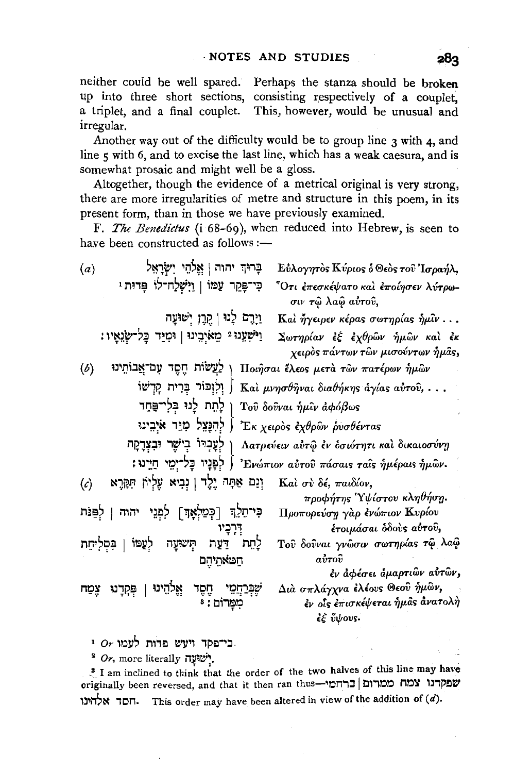neither could be well spared. Perhaps the stanza should be broken up into three short sections, consisting respectively of a couplet. a triplet, and a final couplet. This, however, would be unusual and irregular.

Another way out of the difficulty would be to group line 3 with 4, and line 5 with 6, and to excise the last line, which has a weak caesura, and is somewhat prosaic and might well be a gloss.

Altogether, though the evidence of a metrical original is very strong, there are more irregularities of metre and structure in this poem, in its present form, than in those we have previously examined.

F. The Benedictus (i 68-69), when reduced into Hebrew, is seen to have been constructed as follows :-

| (a) | בַּרוּךְ יהוה   אֱלֹהֵי יִשְׂרָאֵל                                                                           | Εύλογητὸς Κύριος ὁ Θεὸς τοῦ Ἰσραήλ,                                                |
|-----|--------------------------------------------------------------------------------------------------------------|------------------------------------------------------------------------------------|
|     | בִּי־פָּקַר עַמּוֹ   וַיִּשְׁלַח־לוֹ פָּדוּת י                                                               | "Ότι ἐπεσκέψατο καὶ ἐποίησεν λύτρω-<br>σιν τῷ λαῷ αὐτοῦ,                           |
|     | וַיְרֶם לְנוּ   קֶרֶן יְשׁוּעָה                                                                              | Καὶ ἦγειρεν κέρας σωτηρίας ἡμῖν                                                    |
|     | וַיֹּשָׁעֲנוּ 2 מֵאֹיְבִינוּ   וּמִיַּד בָּל־שְׂנֵאָיו :                                                     | Σωτηρίαν εξ εχθρών ήμων και εκ<br>χειρὸς πάντων τῶν μισούντων ἡμᾶς,                |
| (b) | יָםָד עָם־אֲבוֹתִינו Ποιῆσαι έλεος μετά τῶν πατέρων ἡμῶν $\frac{1}{2}$   Ποιῆσαι έλεος μετά τῶν πατέρων ἡμῶν |                                                                                    |
|     |                                                                                                              | וֹלְוְכּוֹר בְּרִית קָדְשׁוֹ Kaì μνησθηναι διαθήκης άγίας αύτου,                   |
|     | γιάφόβως (לְתֵת לְנוּ בְּלִי־פֵּחַד ) Toῦ δοῦναι ήμῖν ἀφόβως                                                 |                                                                                    |
|     | יִבִינוּ אַיָּבִינוּ $\sum_{\kappa}$ אָ $\sum_{\kappa}$ נאָ זענף לאָ $\theta$ פֿיַר אַיָּבִינוּ $\theta$     |                                                                                    |
|     |                                                                                                              | וּבִצְרָקָה Λατρεύειν αὐτῷ ἐν ὁσιότητι καὶ δικαιοσύνη                              |
|     |                                                                                                              | : לְפָּנָיו בָּלִייְמֵי חֲיֵינוּ $\big\}$ 'Ενώπιον αὐτοῦ πάσαις ταῖς ἡμέραις ἡμῶν. |
| (c) | וְנֵם אַתָּה יֶלֶד   נְבִיא עֶלְיוֹן הִמְּרֶא                                                                | Και συ δέ, παιδίον,                                                                |
|     |                                                                                                              | προφήτης Ύψίστου κληθήση.                                                          |
|     | בִּי־הָלֵךְ [בְּמַלְאָךָ] לִפְגֵי יהוה   לְפֵּנֹת                                                            | Προπορεύση γὰρ ἐνώπιον Κυρίου                                                      |
|     | יִּרְכָיו                                                                                                    | έτοιμάσαι δδοὺς αὐτοῦ,                                                             |
|     | לְחֵת דַּעֲת הְשִׁעָּה לְעַמּוֹ   בִּסְלִיחַת                                                                | Τοῦ δοῦναι γνῶσιν σωτηρίας τῷ λαῷ                                                  |
|     | חַטאתֵיהֶם                                                                                                   | αύτοῦ                                                                              |
|     |                                                                                                              | ἐν ἀφέσει ἁμαρτιῶν αὐτῶν,                                                          |
|     | ֹשֶׁבְּרַחֲמֵי חֶסֶד אֱלֹהֵינוּ   פְּקִדָנוּ צֶפַח<br>קִפֶּרוֹם :                                            | Διὰ σπλάγχνα ἐλέους Θεοῦ ἡμῶν,                                                     |
|     |                                                                                                              | έν οἷς ἐπισκέψεται ἡμᾶς ἀνατολὴ                                                    |
|     |                                                                                                              | <i>έξ ύψους.</i>                                                                   |

בי־פקד ויעש פרות לעמו Or -

<sup>2</sup> Or, more literally ישועה.

<sup>3</sup> I am inclined to think that the order of the two halves of this line may have eriginally been reversed, and that it then ran thus-ישפקדנו צמח ממרום | ariginally been reversed, and that it חסד אלהינו. This order may have been altered in view of the addition of  $(d)$ .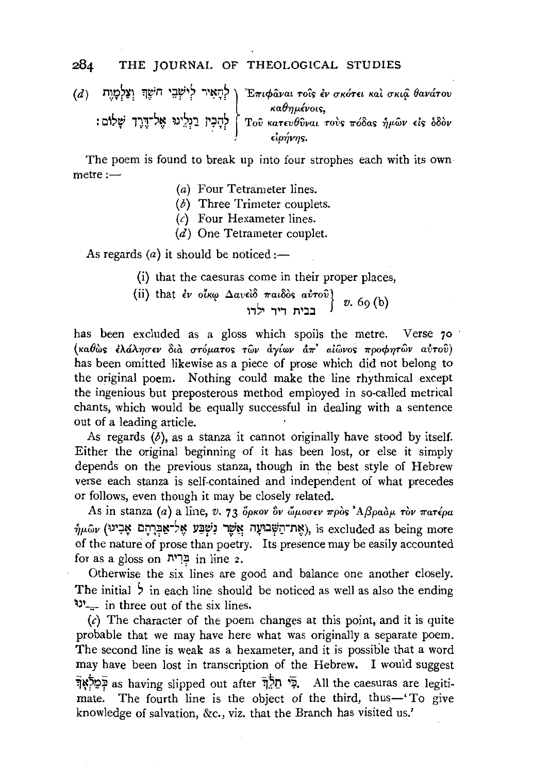(d) קְּתָאִיר לְישָׁבֵי חֹשָׂךָ יְצַלְמָוֶת (d) בּוֹאָס Επιφάναι τούς έν σκότει και σκιφ θανάτου<br>καθημένοις,<br>τού κατευθύναι τους πόδας ήμῶν είς όδον είς τρόνι (φήνης.

The poem is found to break up into four strophes each with its own  $metre :=$ 

- (a) Four Tetrameter lines.
- $(b)$  Three Trimeter couplets.
- $(c)$  Four Hexameter lines.
- $(d)$  One Tetrameter couplet.

As regards  $(a)$  it should be noticed :-

- (i) that the caesuras come in their proper places,
- (ii) that  $\partial v$  olke  $\Delta a$ veid  $\pi a \cdot b$ des  $a \cdot b \cdot c$   $v$ . 69 (b)

has been excluded as a gloss which spoils the metre. Verse 70 (καθώς ελάλησεν δια στόματος των άγίων απ' αίωνος προφητών αύτου) has been omitted likewise as a piece of prose which did not belong to the original poem. Nothing could make the line rhythmical except the ingenious but preposterous method employed in so-called metrical chants, which would be equally successful in dealing with a sentence out of a leading article.

As regards  $(b)$ , as a stanza it cannot originally have stood by itself. Either the original beginning of it has been lost, or else it simply depends on the previous stanza, though in the best style of Hebrew verse each stanza is self-contained and independent of what precedes or follows, even though it may be closely related.

As in stanza (a) a line, v. 73 δρκον δν ώμοσεν προς Αβραάμ τον πατέρα  $\delta\mu$ אַכְרַהַם אַבִינוּ), is excluded as being more of the nature of prose than poetry. Its presence may be easily accounted for as a gloss on בְּרִית in line 2.

Otherwise the six lines are good and balance one another closely. The initial  $\frac{1}{2}$  in each line should be noticed as well as also the ending in three out of the six lines.

(c) The character of the poem changes at this point, and it is quite probable that we may have here what was originally a separate poem. The second line is weak as a hexameter, and it is possible that a word may have been lost in transcription of the Hebrew. I would suggest  $\frac{1}{2}$ ַ as having slipped out after הְלֵהְ All the caesuras are legitimate. The fourth line is the object of the third, thus-'To give knowledge of salvation, &c., viz. that the Branch has visited us.'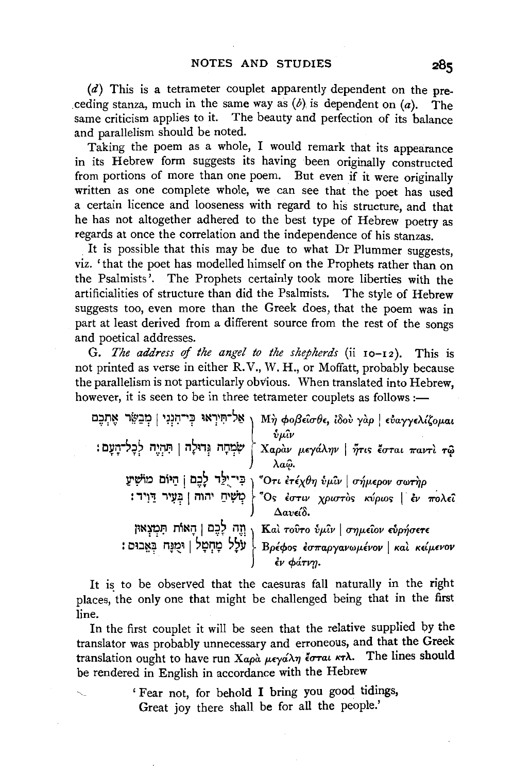$(d)$  This is a tetrameter couplet apparently dependent on the preceding stanza, much in the same way as  $(b)$  is dependent on  $(a)$ . The same criticism applies to it. The beauty and perfection of its balance and parallelism should be noted.

Taking the poem as a whole, I would remark that its appearance in its Hebrew form suggests its having been originally constructed from portions of more than one poem. But even if it were originally written as one complete whole, we can see that the poet has used a certain licence and looseness with regard to his structure, and that he has not altogether adhered to the best type of Hebrew poetry as regards at once the correlation and the independence of his stanzas .

It is possible that this may be due to what Dr Plummer suggests. viz. 'that the poet has modelled himself on the Prophets rather than on the Psalmists'. The Prophets certainly took more liberties with the artificialities of structure than did the Psalmists. The style of Hebrew suggests too, even more than the Greek does, that the poem was in part at least derived from a different source from the rest of the songs and poetical addresses.

G. *The address* of *the angel to the shepherds* (ii 10-12). This is not printed as verse in either R.V., W. H., or Moffatt, probably because the parallelism is not particularly obvious. When translated into Hebrew, however, it is seen to be in three tetrameter couplets as follows :—

| אָתְכֶם   פּל־הִייְרָאוּ בְּי־הִנְנִי   Μὴ φοβεῖσθε, ἰδοὺ γὰρ   εὐαγγελίζομαι                                                                                                             |
|-------------------------------------------------------------------------------------------------------------------------------------------------------------------------------------------|
| ՟υ μῖν                                                                                                                                                                                    |
| י הַהְיָיָה לְכָל־הָעָם; אַ הַאֲמָט κεγάλην   $\eta$ res έσται παντί τ<br>φ $\lambda$ αφίλην   $\eta$                                                                                     |
|                                                                                                                                                                                           |
|                                                                                                                                                                                           |
| פְּי־יָלֵד לָבֶם   הַיּוֹם מוֹשָׁיעַ ( פְּי־יָלַד בָּבָה בָּוֹם מוֹשָׁיעַ ( פְּי־יָלַד בָּבָה בּוֹשָׁיעַ ( הַיוֹם מוֹשָׁיעַ ( פֿוֹשָׁיעַ בּוֹיִם בּוֹשִׁיעַ ( פֿוֹשִׁיעַ בִּוֹיִך בִּוֹיִ |
| Δαυείδ.                                                                                                                                                                                   |
| וָהָ לָכֶם   הָאוֹת הַמְיַצְאוּן Kaì τοῦτο ὑμῖν   σημεῖον εὐρήσετε                                                                                                                        |
| ι εξερος εσπαργανωμένον   και κείμενον   ισιλ κείμενον   και κείμενον                                                                                                                     |
| έν φάτνη.                                                                                                                                                                                 |

It is to be observed that the caesuras fall naturally in the right places, the only one that might be challenged being that in the first line.

In the first couplet it will be seen that the relative supplied by the translator was probably unnecessary and erroneous, and that the Greek translation ought to have run Xapa  $\mu \epsilon \gamma a \lambda \gamma \delta \sigma \tau a \kappa \kappa \lambda$ . The lines should be rendered in English in accordance with the Hebrew

> ' Fear not, for behold I bring you good tidings, Great joy there shall be for all the people.'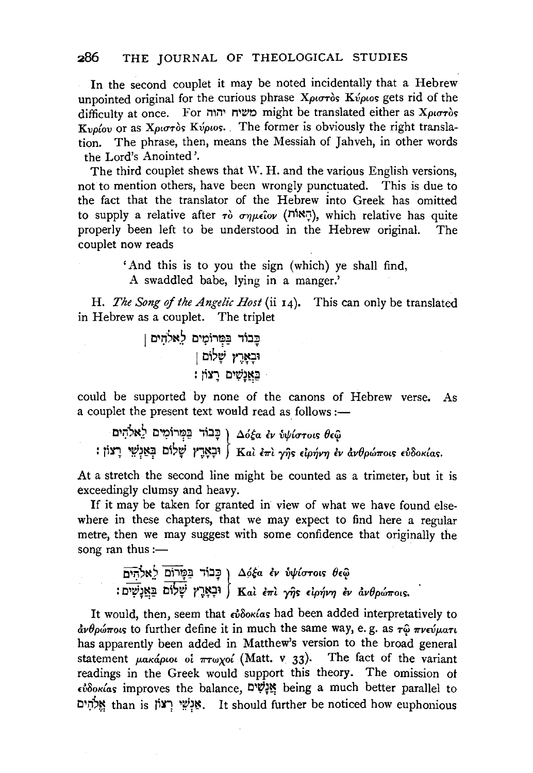In the second couplet it may be noted incidentally that a Hebrew unpointed original for the curious phrase  $X_{\rho\sigma\sigma\sigma\sigma}$  Kv $\rho\sigma\sigma\sigma$  gets rid of the difficulty at once. For משיח יהוה might be translated either as  $X_{\rho\sigma\sigma\sigma}$ os Kvpίου or as Χριστός Κύριος. The former is obviously the right translation. The phrase, then, means the Messiah of Jahveh, in other words the Lord's Anointed'.

The third couplet shews that W. H. and the various English versions, not to mention others, have been wrongly punctuated. This is due to the fact that the translator of the Hebrew into Greek has omitted to supply a relative after  $\tau\delta$   $\sigma\eta\mu\epsilon\omega$  ( $\pi\lambda\bar{\psi}$ ), which relative has quite properly been left to be understood in the Hebrew original. The couplet now reads

> 'And this is to you the sign (which) ye shall find, A swaddled babe, lying in a manger.'

H. *The Song* of *the Angelic Host* (ii 14). This can only be translated in Hebrew as a couplet. The triplet

> בַּבוֹד בַּמָּרוֹמִים לְאלֹהִים | .<br>ובאַרֵ*ץ שֶׁ*לוֹם ן : באנשים רצון

could be supported by none of the canons of Hebrew verse. As a couplet the present text would read as follows :-

וּבּוֹּד בַּמְּרוֹמִים לָאַלְהִים  $\Delta\acute{o}\xi$ a  $\acute{\epsilon}\nu$   $\acute{\nu}\nu$ וֹהִים  $\theta\epsilon\hat{\omega}$  $:$  יְצוֹן בְּאֲרָץ 'שֲלוֹם בְּאֲנָשִׁי דָצוֹן $\alpha$   $\lambda$   $\epsilon$ ג $\gamma$ וֹ $\kappa$   $\epsilon$ וֹ $\kappa$  $\epsilon$ וֹן  $\kappa$ 

At a stretch the second line might be counted as a trimeter, but it is exceedingly clumsy and heavy.

If it may be taken for granted in view of what we have found elsewhere in these chapters, that we may expect to find here a regular metre, then we may suggest with some confidence that originally the song ran thus  $:=$ 

> וּ בָּבּוֹד בַּמָּרוֹם לֵאַלֹהִיּם  $\Delta\phi$  ( בְּבוֹד בַּמֵּרוֹם ל : הַאֲנָשְׁיִם בַּאֲנָשָׁיִם ∫ **Kaì ἐπὶ γῆs εἰρήνη ἐν ἀνθρώποιs.**  $\cdot$

It would, then, seem that εὐδοκίαs had been added interpretatively to  $d\nu\theta\rho\omega\pi\omega s$  to further define it in much the same way, e. g. as  $\tau\hat{\omega}$   $\pi\nu\epsilon\hat{\nu}\mu\alpha\tau\omega$ has apparently been added in Matthew's version to the broad general statement  $\mu$ akápioi oi  $\pi\tau\omega\chi$ oí (Matt. v 33). The fact of the variant readings in the Greek would support this theory. The omission of  $\epsilon$ *i* $\delta$ ok*ias* improves the balance, אֲנָשָׁים being a much better parallel to וֹלְהִים than is אֲלָשֵׁי רְצוֹן. It should further be noticed how euphonious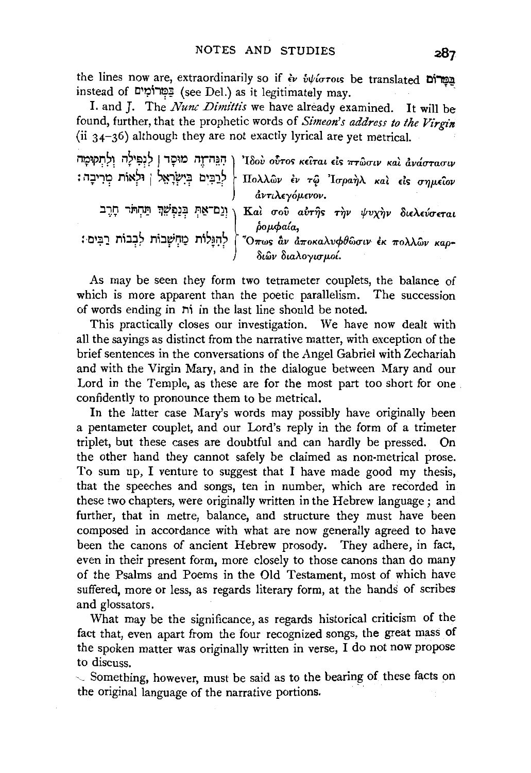the lines now are, extraordinarily so if *εν ύψίστοι*ς be translated Dimain instead of בָּמְרוֹמִים (see Del.) as it legitimately may.

I. and J. The *Nunc Dimittis* we have already examined. It will be found, further, that the prophetic words of *Simeon's address to the Virgin*  (ii  $34-36$ ) although they are not exactly lyrical are yet metrical.

| ן הָגֵּח־דֶה מוּסֶד   לְנְפִילָה וַלְוְתִקוּמָה 'Iδοὺ οὗτοs κεῖται εἰs πτῶσιν καὶ ἀνάστασιν |
|---------------------------------------------------------------------------------------------|
| ι τωλλών εν τω 'Ισραήλ και είς σημείον (כְבִים בְּיִשְׂרָאֵל   וֹלְאוֹת מְרִיבָה            |
| άντιλεγόμενον.                                                                              |
| φυχὴν διελεύσεται (וַּבַם־אַתְּ בְּנַפְשֵׁךָ תַּחְתֹּר πρι ψυχὴν διελεύσεται (              |
| ρομφαία,                                                                                    |
| י "Οπως αν αποκαλυφθώσιν εκ πολλών καρ-                                                     |
| διών διαλογισμοί.                                                                           |

As may be seen they form two tetrameter couplets, the balance of which is more apparent than the poetic parallelism. The succession of words ending in n\ in the last line should be noted.

This practically closes our investigation. We have now dealt with all the sayings as distinct from the narrative matter, with exception of the brief sentences in the conversations of the Angel Gabriel with Zechariah and with the Virgin Mary, and in the dialogue between Mary and our Lord in the Temple, as these are for the most part too short for one confidently to pronounce them to be metrical.

In the latter case Mary's words may possibly have originally been a pentameter couplet, and our Lord's reply in the form of a trimeter triplet, but these cases are doubtful and can hardly be pressed. On the other hand they cannot safely be claimed as non-metrical prose. To sum up, I venture to suggest that I have made good my thesis, that the speeches and songs, ten in number, which are recorded in these two chapters, were originally written in the Hebrew language; and further, that in metre, balance, and structure they must have been composed in accordance with what are now generally agreed to have been the canons of ancient Hebrew prosody. They adhere, in fact, even in their present form, more closely to those canons than do many of the Psalms and Poems in the Old Testament, most of which have suffered, more or less, as regards literary form, at the hands of scribes and glossators.

What may be the significance, as regards historical criticism of the fact that, even apart from the four recognized songs, the great mass of the spoken matter was originally written in verse, I do not now propose to discuss.

 $\sim$  Something, however, must be said as to the bearing of these facts on the original language of the narrative portions.